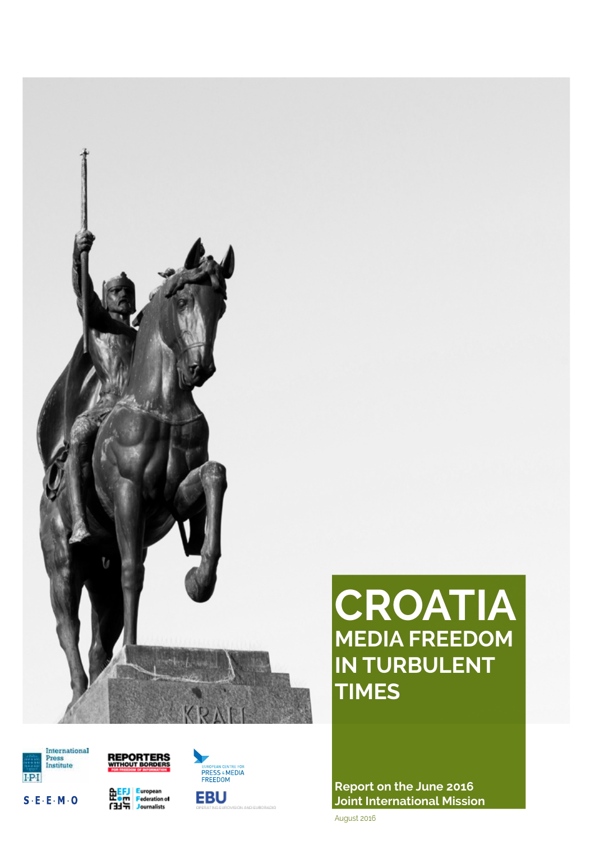

# **CROATIA MEDIA FREEDOM IN TURBULENT TIMES**

**Report on the June 2016 Joint International Mission**

August 2016



 $S \cdot E \cdot E \cdot M \cdot O$ 







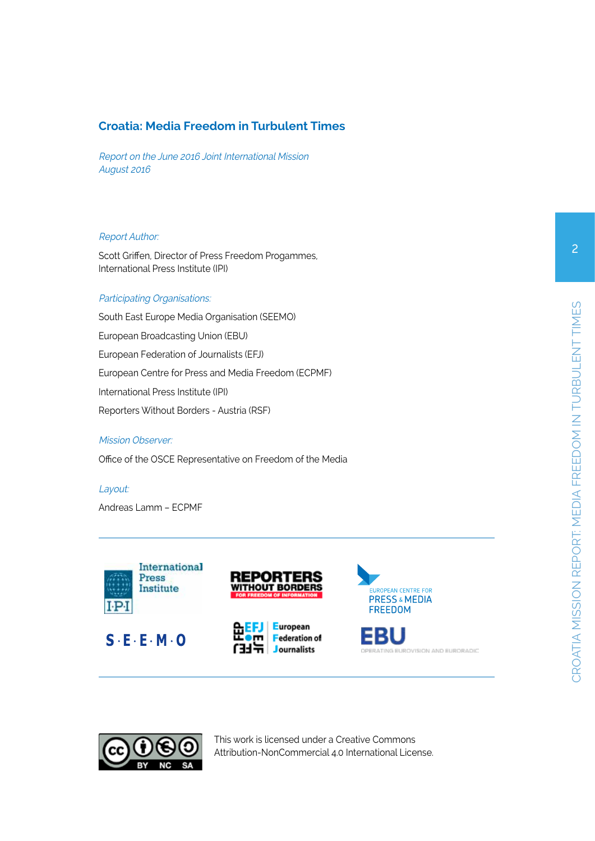# **Croatia: Media Freedom in Turbulent Times**

Report on the June 2016 Joint International Mission August 2016

#### Report Author:

Scott Griffen, Director of Press Freedom Progammes, International Press Institute (IPI)

#### Participating Organisations:

South East Europe Media Organisation (SEEMO) European Broadcasting Union (EBU) European Federation of Journalists (EFJ) European Centre for Press and Media Freedom (ECPMF) International Press Institute (IPI) Reporters Without Borders - Austria (RSF)

#### Mission Observer:

Office of the OSCE Representative on Freedom of the Media

Layout:

Andreas Lamm – ECPMF















This work is licensed under a Creative Commons Attribution-NonCommercial 4.0 International License.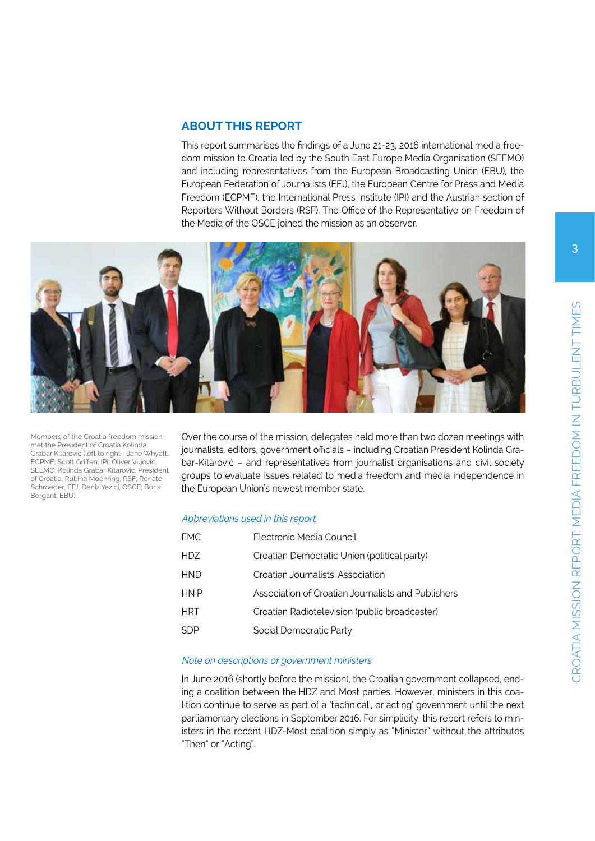# **ABOUT THIS REPORT**

This report summarises the findings of a June 21-23, 2016 international media freedom mission to Croatia led by the South East Europe Media Organisation (SEEMO) and including representatives from the European Broadcasting Union (EBU), the European Federation of Journalists (EFJ), the European Centre for Press and Media Freedom (ECPMF), the International Press Institute (IPI) and the Austrian section of Reporters Without Borders (RSF). The Office of the Representative on Freedom of the Media of the OSCE joined the mission as an observer.



Members of the Croatia freedom mission met the President of Croatia Kolinda Grabar Kitarović (left to right - Jane Whyatt, ECPMF; Scott Griffen, IPI; Oliver Vujovic, SEEMO; Kolinda Grabar Kitarović, President of Croatia; Rubina Moehring, RSF; Renate Schroeder, EFJ; Deniz Yazici, OSCE; Boris Bergant, EBU)

Over the course of the mission, delegates held more than two dozen meetings with journalists, editors, government officials – including Croatian President Kolinda Grabar-Kitarović – and representatives from journalist organisations and civil society groups to evaluate issues related to media freedom and media independence in the European Union's newest member state.

#### Abbreviations used in this report:

| FMC.        | Flectronic Media Council                           |
|-------------|----------------------------------------------------|
| HDZ         | Croatian Democratic Union (political party)        |
| <b>HND</b>  | Croatian Journalists' Association                  |
| <b>HNiP</b> | Association of Croatian Journalists and Publishers |
| <b>HRT</b>  | Croatian Radiotelevision (public broadcaster)      |
| SDP         | Social Democratic Party                            |

#### Note on descriptions of government ministers:

In June 2016 (shortly before the mission), the Croatian government collapsed, ending a coalition between the HDZ and Most parties. However, ministers in this coalition continue to serve as part of a 'technical', or acting' government until the next parliamentary elections in September 2016. For simplicity, this report refers to ministers in the recent HDZ-Most coalition simply as "Minister" without the attributes "Then" or "Acting".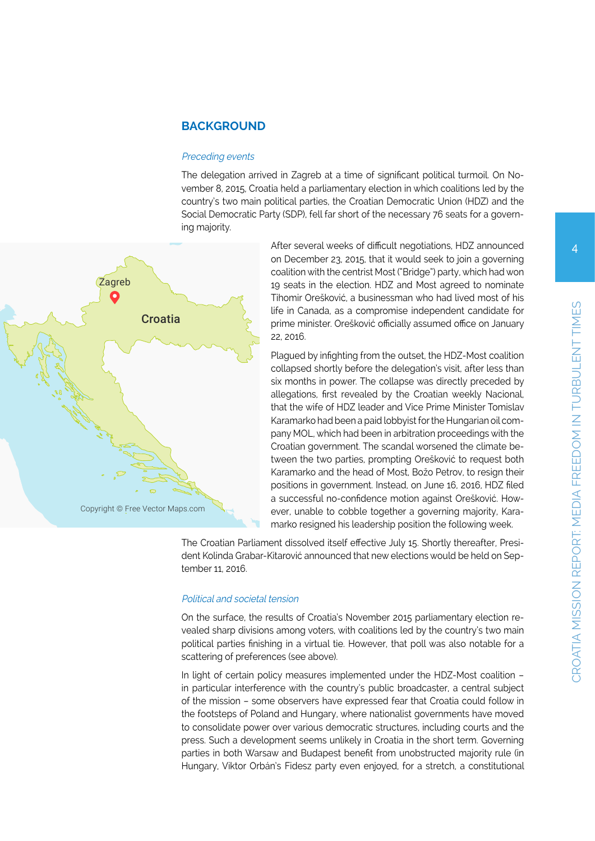# **BACKGROUND**

#### Preceding events

The delegation arrived in Zagreb at a time of significant political turmoil. On November 8, 2015, Croatia held a parliamentary election in which coalitions led by the country's two main political parties, the Croatian Democratic Union (HDZ) and the Social Democratic Party (SDP), fell far short of the necessary 76 seats for a governing majority.



After several weeks of difficult negotiations, HDZ announced on December 23, 2015, that it would seek to join a governing coalition with the centrist Most ("Bridge") party, which had won 19 seats in the election. HDZ and Most agreed to nominate Tihomir Orešković, a businessman who had lived most of his life in Canada, as a compromise independent candidate for prime minister. Orešković officially assumed office on January 22, 2016.

Plagued by infighting from the outset, the HDZ-Most coalition collapsed shortly before the delegation's visit, after less than six months in power. The collapse was directly preceded by allegations, first revealed by the Croatian weekly Nacional, that the wife of HDZ leader and Vice Prime Minister Tomislav Karamarko had been a paid lobbyist for the Hungarian oil company MOL, which had been in arbitration proceedings with the Croatian government. The scandal worsened the climate between the two parties, prompting Orešković to request both Karamarko and the head of Most, Božo Petrov, to resign their positions in government. Instead, on June 16, 2016, HDZ filed a successful no-confidence motion against Orešković. However, unable to cobble together a governing majority, Karamarko resigned his leadership position the following week.

The Croatian Parliament dissolved itself effective July 15. Shortly thereafter, President Kolinda Grabar-Kitarović announced that new elections would be held on September 11, 2016.

#### Political and societal tension

On the surface, the results of Croatia's November 2015 parliamentary election revealed sharp divisions among voters, with coalitions led by the country's two main political parties finishing in a virtual tie. However, that poll was also notable for a scattering of preferences (see above).

In light of certain policy measures implemented under the HDZ-Most coalition – in particular interference with the country's public broadcaster, a central subject of the mission – some observers have expressed fear that Croatia could follow in the footsteps of Poland and Hungary, where nationalist governments have moved to consolidate power over various democratic structures, including courts and the press. Such a development seems unlikely in Croatia in the short term. Governing parties in both Warsaw and Budapest benefit from unobstructed majority rule (in Hungary, Viktor Orbán's Fidesz party even enjoyed, for a stretch, a constitutional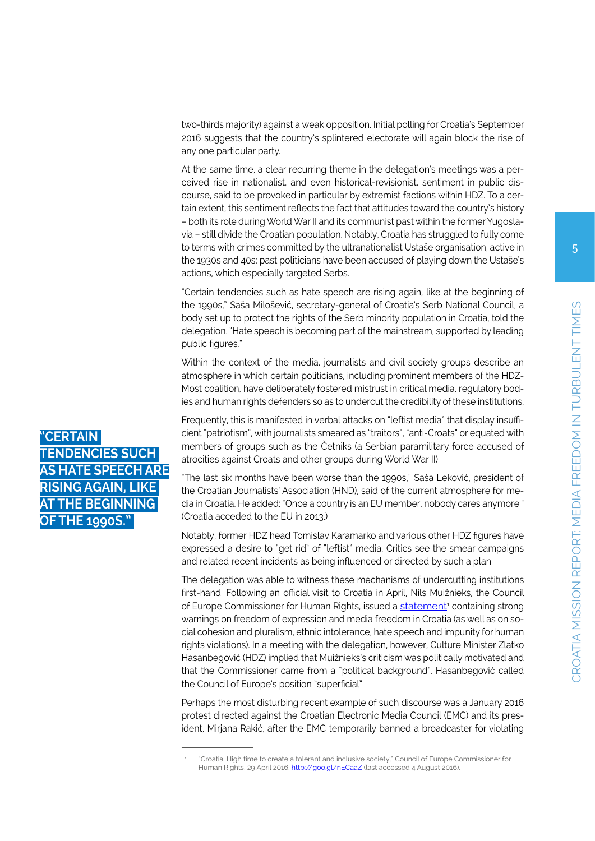two-thirds majority) against a weak opposition. Initial polling for Croatia's September 2016 suggests that the country's splintered electorate will again block the rise of any one particular party.

At the same time, a clear recurring theme in the delegation's meetings was a perceived rise in nationalist, and even historical-revisionist, sentiment in public discourse, said to be provoked in particular by extremist factions within HDZ. To a certain extent, this sentiment reflects the fact that attitudes toward the country's history – both its role during World War II and its communist past within the former Yugoslavia – still divide the Croatian population. Notably, Croatia has struggled to fully come to terms with crimes committed by the ultranationalist Ustaše organisation, active in the 1930s and 40s; past politicians have been accused of playing down the Ustaše's actions, which especially targeted Serbs.

"Certain tendencies such as hate speech are rising again, like at the beginning of the 1990s," Saša Milošević, secretary-general of Croatia's Serb National Council, a body set up to protect the rights of the Serb minority population in Croatia, told the delegation. "Hate speech is becoming part of the mainstream, supported by leading public figures."

Within the context of the media, journalists and civil society groups describe an atmosphere in which certain politicians, including prominent members of the HDZ-Most coalition, have deliberately fostered mistrust in critical media, regulatory bodies and human rights defenders so as to undercut the credibility of these institutions.

Frequently, this is manifested in verbal attacks on "leftist media" that display insufficient "patriotism", with journalists smeared as "traitors", "anti-Croats" or equated with members of groups such as the Četniks (a Serbian paramilitary force accused of atrocities against Croats and other groups during World War II).

"The last six months have been worse than the 1990s," Saša Leković, president of the Croatian Journalists' Association (HND), said of the current atmosphere for media in Croatia. He added: "Once a country is an EU member, nobody cares anymore." (Croatia acceded to the EU in 2013.)

Notably, former HDZ head Tomislav Karamarko and various other HDZ figures have expressed a desire to "get rid" of "leftist" media. Critics see the smear campaigns and related recent incidents as being influenced or directed by such a plan.

The delegation was able to witness these mechanisms of undercutting institutions first-hand. Following an official visit to Croatia in April, Nils Muižnieks, the Council of Europe Commissioner for Human Rights, issued a [statement](http://www.coe.int/en/web/commissioner/-/croatia-high-time-to-create-a-tolerant-and-inclusive-society)<sup>1</sup> containing strong warnings on freedom of expression and media freedom in Croatia (as well as on social cohesion and pluralism, ethnic intolerance, hate speech and impunity for human rights violations). In a meeting with the delegation, however, Culture Minister Zlatko Hasanbegović (HDZ) implied that Muižnieks's criticism was politically motivated and that the Commissioner came from a "political background". Hasanbegović called the Council of Europe's position "superficial".

Perhaps the most disturbing recent example of such discourse was a January 2016 protest directed against the Croatian Electronic Media Council (EMC) and its president, Mirjana Rakić, after the EMC temporarily banned a broadcaster for violating



<sup>&</sup>quot;Croatia: High time to create a tolerant and inclusive society," Council of Europe Commissioner for Human Rights, 29 April 2016, <http://goo.gl/nECaaZ> (last accessed 4 August 2016).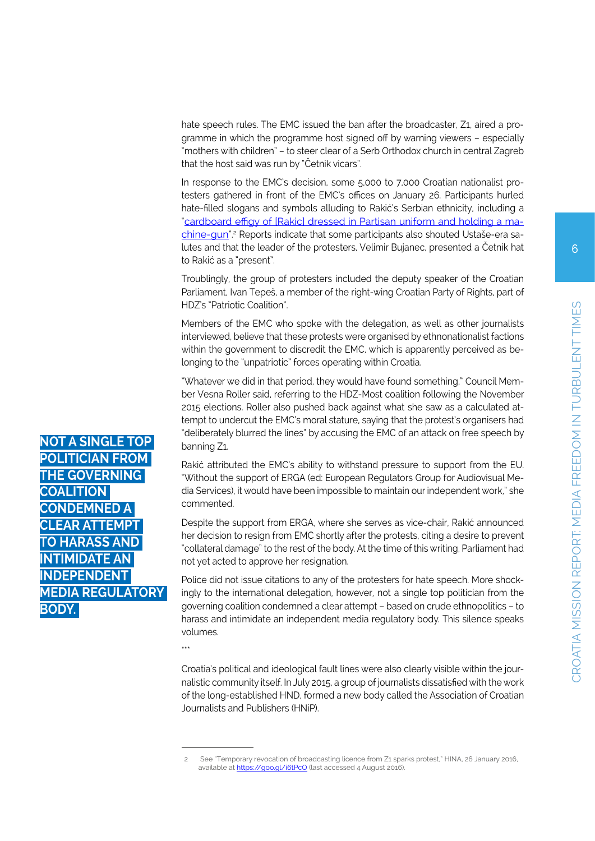hate speech rules. The EMC issued the ban after the broadcaster, Z1, aired a programme in which the programme host signed off by warning viewers – especially "mothers with children" – to steer clear of a Serb Orthodox church in central Zagreb that the host said was run by "Četnik vicars".

In response to the EMC's decision, some 5,000 to 7,000 Croatian nationalist protesters gathered in front of the EMC's offices on January 26. Participants hurled hate-filled slogans and symbols alluding to Rakić's Serbian ethnicity, including a "[cardboard effigy of \[Rakic\] dressed in Partisan uniform and holding a ma](https://aboutcroatia.net/news/croatia/temporary-revocation-broadcasting-licence-z1-sparks-protest-7876)[chine-gun"](https://aboutcroatia.net/news/croatia/temporary-revocation-broadcasting-licence-z1-sparks-protest-7876).<sup>2</sup> Reports indicate that some participants also shouted Ustaše-era salutes and that the leader of the protesters, Velimir Bujanec, presented a Četnik hat to Rakić as a "present".

Troublingly, the group of protesters included the deputy speaker of the Croatian Parliament, Ivan Tepeš, a member of the right-wing Croatian Party of Rights, part of HDZ's "Patriotic Coalition".

Members of the EMC who spoke with the delegation, as well as other journalists interviewed, believe that these protests were organised by ethnonationalist factions within the government to discredit the EMC, which is apparently perceived as belonging to the "unpatriotic" forces operating within Croatia.

"Whatever we did in that period, they would have found something," Council Member Vesna Roller said, referring to the HDZ-Most coalition following the November 2015 elections. Roller also pushed back against what she saw as a calculated attempt to undercut the EMC's moral stature, saying that the protest's organisers had "deliberately blurred the lines" by accusing the EMC of an attack on free speech by banning Z1.

Rakić attributed the EMC's ability to withstand pressure to support from the EU. "Without the support of ERGA (ed: European Regulators Group for Audiovisual Media Services), it would have been impossible to maintain our independent work," she commented.

Despite the support from ERGA, where she serves as vice-chair, Rakić announced her decision to resign from EMC shortly after the protests, citing a desire to prevent "collateral damage" to the rest of the body. At the time of this writing, Parliament had not yet acted to approve her resignation.

Police did not issue citations to any of the protesters for hate speech. More shockingly to the international delegation, however, not a single top politician from the governing coalition condemned a clear attempt – based on crude ethnopolitics – to harass and intimidate an independent media regulatory body. This silence speaks volumes.

\*\*\*

Croatia's political and ideological fault lines were also clearly visible within the journalistic community itself. In July 2015, a group of journalists dissatisfied with the work of the long-established HND, formed a new body called the Association of Croatian Journalists and Publishers (HNiP).

**NOT A SINGLE T POLICIAN FROM THE GOVERNING COALITION CONDEMNED A CLEAR ATTEMPT HARASS MIDAT IFPENDEN MEDIA REGULATORY BODY.** 

<sup>2</sup> See "Temporary revocation of broadcasting licence from Z1 sparks protest," HINA, 26 January 2016, available at <https://goo.gl/i6tPcO> (last accessed 4 August 2016).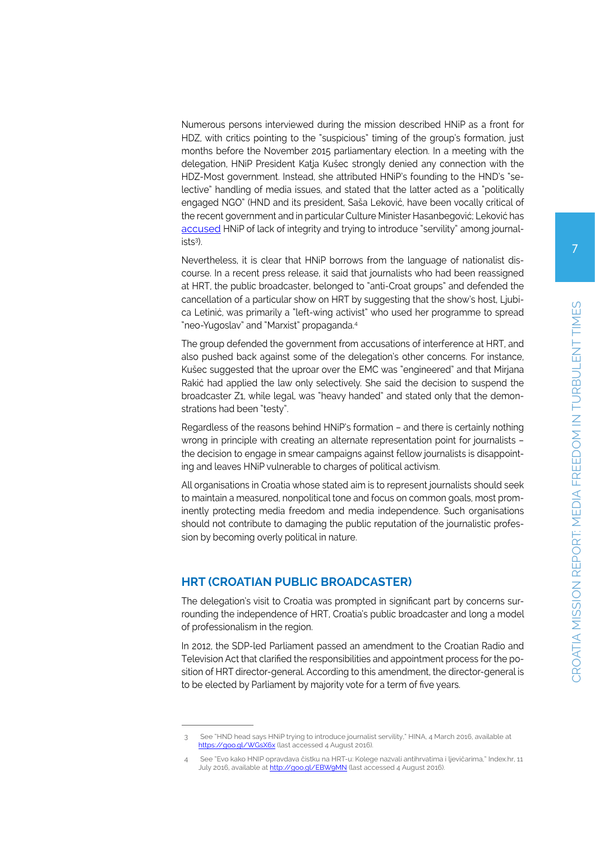Numerous persons interviewed during the mission described HNiP as a front for HDZ, with critics pointing to the "suspicious" timing of the group's formation, just months before the November 2015 parliamentary election. In a meeting with the delegation, HNiP President Katja Kušec strongly denied any connection with the HDZ-Most government. Instead, she attributed HNiP's founding to the HND's "selective" handling of media issues, and stated that the latter acted as a "politically engaged NGO" (HND and its president, Saša Leković, have been vocally critical of the recent government and in particular Culture Minister Hasanbegović; Leković has [accused](https://aboutcroatia.net/news/croatia/hnd-head-says-hnip-trying-introduce-journalist-servility-12826) HNiP of lack of integrity and trying to introduce "servility" among journalists3 ).

Nevertheless, it is clear that HNiP borrows from the language of nationalist discourse. In a recent press release, it said that journalists who had been reassigned at HRT, the public broadcaster, belonged to "anti-Croat groups" and defended the cancellation of a particular show on HRT by suggesting that the show's host, Ljubica Letinić, was primarily a "left-wing activist" who used her programme to spread "neo-Yugoslav" and "Marxist" propaganda.4

The group defended the government from accusations of interference at HRT, and also pushed back against some of the delegation's other concerns. For instance, Kušec suggested that the uproar over the EMC was "engineered" and that Mirjana Rakić had applied the law only selectively. She said the decision to suspend the broadcaster Z1, while legal, was "heavy handed" and stated only that the demonstrations had been "testy".

Regardless of the reasons behind HNiP's formation – and there is certainly nothing wrong in principle with creating an alternate representation point for journalists – the decision to engage in smear campaigns against fellow journalists is disappointing and leaves HNiP vulnerable to charges of political activism.

All organisations in Croatia whose stated aim is to represent journalists should seek to maintain a measured, nonpolitical tone and focus on common goals, most prominently protecting media freedom and media independence. Such organisations should not contribute to damaging the public reputation of the journalistic profession by becoming overly political in nature.

#### **HRT (CROATIAN PUBLIC BROADCASTER)**

The delegation's visit to Croatia was prompted in significant part by concerns surrounding the independence of HRT, Croatia's public broadcaster and long a model of professionalism in the region.

In 2012, the SDP-led Parliament passed an amendment to the Croatian Radio and Television Act that clarified the responsibilities and appointment process for the position of HRT director-general. According to this amendment, the director-general is to be elected by Parliament by majority vote for a term of five years.

<sup>3</sup> See "HND head says HNiP trying to introduce journalist servility," HINA, 4 March 2016, available at <https://goo.gl/WGsX6x>(last accessed 4 August 2016).

<sup>4</sup> See "Evo kako HNIP opravdava čistku na HRT-u: Kolege nazvali antihrvatima i ljevičarima," Index.hr, 11 July 2016, available at<http://goo.gl/EBW9MN> (last accessed 4 August 2016).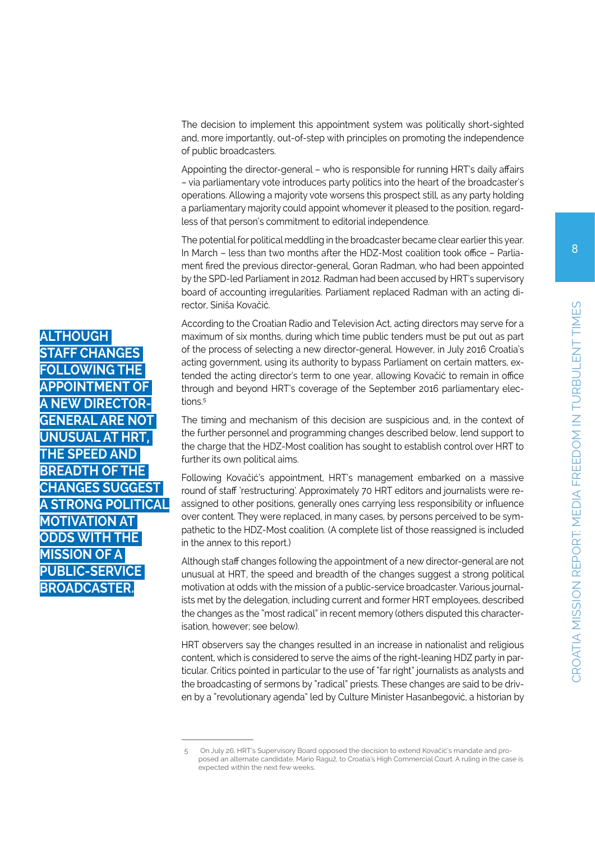The decision to implement this appointment system was politically short-sighted and, more importantly, out-of-step with principles on promoting the independence of public broadcasters.

Appointing the director-general – who is responsible for running HRT's daily affairs – via parliamentary vote introduces party politics into the heart of the broadcaster's operations. Allowing a majority vote worsens this prospect still, as any party holding a parliamentary majority could appoint whomever it pleased to the position, regardless of that person's commitment to editorial independence.

The potential for political meddling in the broadcaster became clear earlier this year. In March – less than two months after the HDZ-Most coalition took office – Parliament fired the previous director-general, Goran Radman, who had been appointed by the SPD-led Parliament in 2012. Radman had been accused by HRT's supervisory board of accounting irregularities. Parliament replaced Radman with an acting director, Siniša Kovačić.

According to the Croatian Radio and Television Act, acting directors may serve for a maximum of six months, during which time public tenders must be put out as part of the process of selecting a new director-general. However, in July 2016 Croatia's acting government, using its authority to bypass Parliament on certain matters, extended the acting director's term to one year, allowing Kovačić to remain in office through and beyond HRT's coverage of the September 2016 parliamentary elections<sup>5</sup>

The timing and mechanism of this decision are suspicious and, in the context of the further personnel and programming changes described below, lend support to the charge that the HDZ-Most coalition has sought to establish control over HRT to further its own political aims.

Following Kovačić's appointment, HRT's management embarked on a massive round of staff 'restructuring'. Approximately 70 HRT editors and journalists were reassigned to other positions, generally ones carrying less responsibility or influence over content. They were replaced, in many cases, by persons perceived to be sympathetic to the HDZ-Most coalition. (A complete list of those reassigned is included in the annex to this report.)

Although staff changes following the appointment of a new director-general are not unusual at HRT, the speed and breadth of the changes suggest a strong political motivation at odds with the mission of a public-service broadcaster. Various journalists met by the delegation, including current and former HRT employees, described the changes as the "most radical" in recent memory (others disputed this characterisation, however; see below).

HRT observers say the changes resulted in an increase in nationalist and religious content, which is considered to serve the aims of the right-leaning HDZ party in particular. Critics pointed in particular to the use of "far right" journalists as analysts and the broadcasting of sermons by "radical" priests. These changes are said to be driven by a "revolutionary agenda" led by Culture Minister Hasanbegović, a historian by

**ALTHOUGH STAFF CHANGES FOLLOWING THE APPOINTMENT OF**  W NDF*C* **GENERAL ARE UNUSUAL AT THE SPEED AND BREADTH OF T CHANGES SUGGES A STRONG POLITICAL MOTIVATION AT ODDS WITH THE MISSION OF A PUBLIC-SERVICE BROADCASTER.**

<sup>5</sup> On July 26, HRT's Supervisory Board opposed the decision to extend Kovačić's mandate and proposed an alternate candidate, Mario Raguž, to Croatia's High Commercial Court. A ruling in the case is expected within the next few weeks.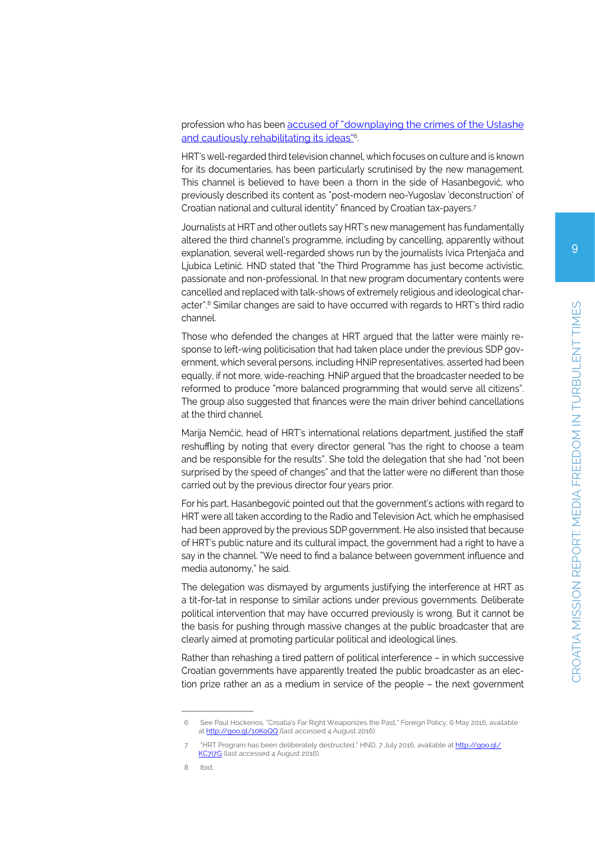#### profession who has been [accused of "downplaying the crimes of the Ustashe](http://foreignpolicy.com/2016/05/06/croatias-far-right-weaponizes-the-past-ustase-hasanbegovic/) [and cautiously rehabilitating its ideas"](http://foreignpolicy.com/2016/05/06/croatias-far-right-weaponizes-the-past-ustase-hasanbegovic/)6.

HRT's well-regarded third television channel, which focuses on culture and is known for its documentaries, has been particularly scrutinised by the new management. This channel is believed to have been a thorn in the side of Hasanbegović, who previously described its content as "post-modern neo-Yugoslav 'deconstruction' of Croatian national and cultural identity" financed by Croatian tax-payers.7

Journalists at HRT and other outlets say HRT's new management has fundamentally altered the third channel's programme, including by cancelling, apparently without explanation, several well-regarded shows run by the journalists Ivica Prtenjača and Ljubica Letinić. HND stated that "the Third Programme has just become activistic, passionate and non-professional. In that new program documentary contents were cancelled and replaced with talk-shows of extremely religious and ideological character".8 Similar changes are said to have occurred with regards to HRT's third radio channel.

Those who defended the changes at HRT argued that the latter were mainly response to left-wing politicisation that had taken place under the previous SDP government, which several persons, including HNiP representatives, asserted had been equally, if not more, wide-reaching. HNiP argued that the broadcaster needed to be reformed to produce "more balanced programming that would serve all citizens". The group also suggested that finances were the main driver behind cancellations at the third channel.

Marija Nemčić, head of HRT's international relations department, justified the staff reshuffling by noting that every director general "has the right to choose a team and be responsible for the results". She told the delegation that she had "not been surprised by the speed of changes" and that the latter were no different than those carried out by the previous director four years prior.

For his part, Hasanbegović pointed out that the government's actions with regard to HRT were all taken according to the Radio and Television Act, which he emphasised had been approved by the previous SDP government. He also insisted that because of HRT's public nature and its cultural impact, the government had a right to have a say in the channel. "We need to find a balance between government influence and media autonomy," he said.

The delegation was dismayed by arguments justifying the interference at HRT as a tit-for-tat in response to similar actions under previous governments. Deliberate political intervention that may have occurred previously is wrong. But it cannot be the basis for pushing through massive changes at the public broadcaster that are clearly aimed at promoting particular political and ideological lines.

Rather than rehashing a tired pattern of political interference – in which successive Croatian governments have apparently treated the public broadcaster as an election prize rather an as a medium in service of the people – the next government

<sup>6</sup> See Paul Hockenos, "Croatia's Far Right Weaponizes the Past," Foreign Policy, 6 May 2016, available at <http://goo.gl/10KoQQ> (last accessed 4 August 2016).

<sup>&</sup>quot;HRT Program has been deliberately destructed," HND, 7 July 2016, available at [http://goo.gl/](http://goo.gl/KC7i7G) [KC7i7G](http://goo.gl/KC7i7G) (last accessed 4 August 2016).

<sup>8</sup> Ibid.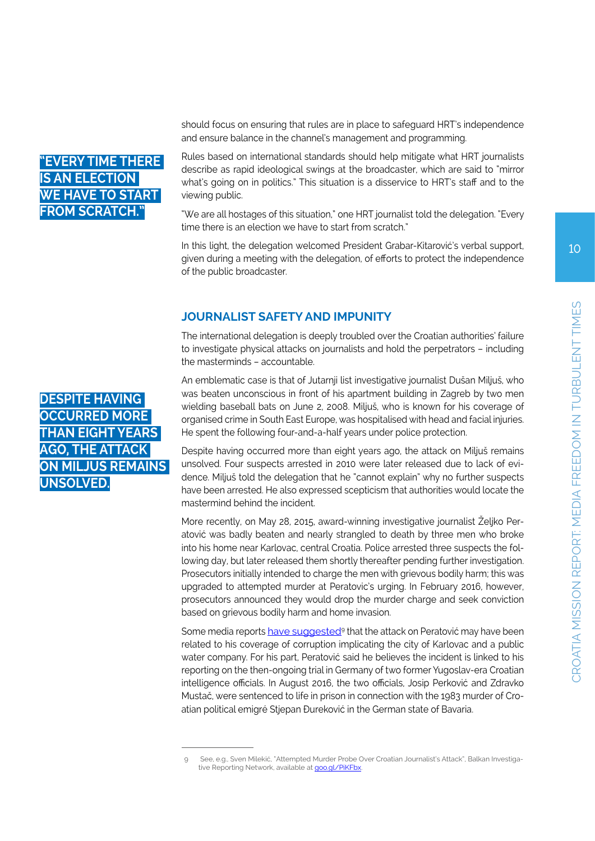# **"EVERY TIME THERE IS AN ELECTION WE HAVE TO START OM SCRATCH**

should focus on ensuring that rules are in place to safeguard HRT's independence and ensure balance in the channel's management and programming.

Rules based on international standards should help mitigate what HRT journalists describe as rapid ideological swings at the broadcaster, which are said to "mirror what's going on in politics." This situation is a disservice to HRT's staff and to the viewing public.

"We are all hostages of this situation," one HRT journalist told the delegation. "Every time there is an election we have to start from scratch."

In this light, the delegation welcomed President Grabar-Kitarović's verbal support, given during a meeting with the delegation, of efforts to protect the independence of the public broadcaster.

# **JOURNALIST SAFETY AND IMPUNITY**

The international delegation is deeply troubled over the Croatian authorities' failure to investigate physical attacks on journalists and hold the perpetrators – including the masterminds – accountable.

An emblematic case is that of Jutarnji list investigative journalist Dušan Miljuš, who was beaten unconscious in front of his apartment building in Zagreb by two men wielding baseball bats on June 2, 2008. Miljuš, who is known for his coverage of organised crime in South East Europe, was hospitalised with head and facial injuries. He spent the following four-and-a-half years under police protection.

Despite having occurred more than eight years ago, the attack on Miljuš remains unsolved. Four suspects arrested in 2010 were later released due to lack of evidence. Miljuš told the delegation that he "cannot explain" why no further suspects have been arrested. He also expressed scepticism that authorities would locate the mastermind behind the incident.

More recently, on May 28, 2015, award-winning investigative journalist Željko Peratović was badly beaten and nearly strangled to death by three men who broke into his home near Karlovac, central Croatia. Police arrested three suspects the following day, but later released them shortly thereafter pending further investigation. Prosecutors initially intended to charge the men with grievous bodily harm; this was upgraded to attempted murder at Peratovic's urging. In February 2016, however, prosecutors announced they would drop the murder charge and seek conviction based on grievous bodily harm and home invasion.

Some media reports have suggested<sup>9</sup> that the attack on Peratović may have been related to his coverage of corruption implicating the city of Karlovac and a public water company. For his part, Peratović said he believes the incident is linked to his reporting on the then-ongoing trial in Germany of two former Yugoslav-era Croatian intelligence officials. In August 2016, the two officials, Josip Perković and Zdravko Mustač, were sentenced to life in prison in connection with the 1983 murder of Croatian political emigré Stjepan Đureković in the German state of Bavaria.

**DESPITE HAVING OCCURRED MORE THAN EIGHT YEARS AGO, THE ATTACK ON MILJUŠ REMAINS UNSOLVED.**

<sup>9</sup> See, e.g., Sven Milekić, "Attempted Murder Probe Over Croatian Journalist's Attack", Balkan Investigative Reporting Network, available at [goo.gl/PiKFbx](file:///D:/Andreas/Desktop/FFM-Croatia/goo.gl/PiKFbx).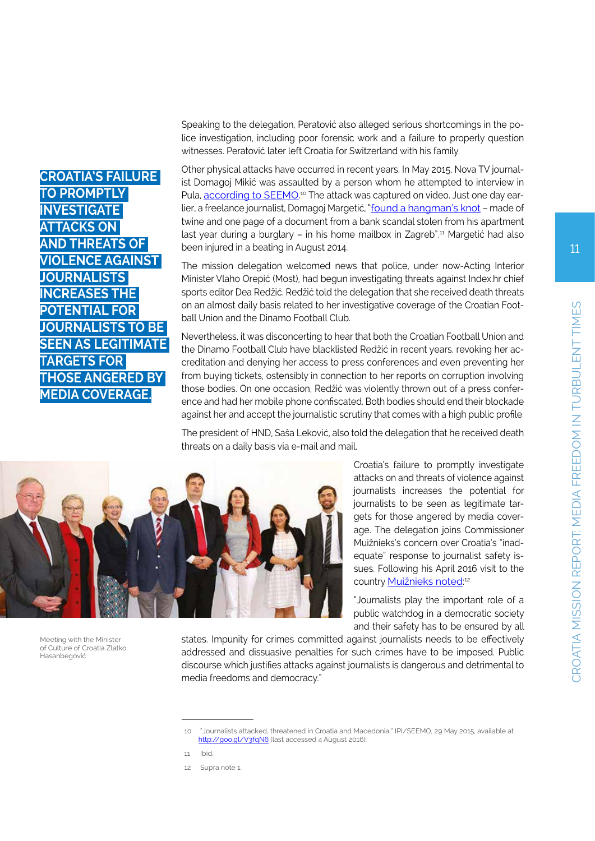Speaking to the delegation, Peratović also alleged serious shortcomings in the police investigation, including poor forensic work and a failure to properly question witnesses. Peratović later left Croatia for Switzerland with his family.

Other physical attacks have occurred in recent years. In May 2015, Nova TV journalist Domagoj Mikić was assaulted by a person whom he attempted to interview in Pula, **according to SEEMO**.<sup>10</sup> The attack was captured on video. Just one day ear-lier, a freelance journalist, Domagoj Margetić, ["found a hangman's knot](http://ontheline.freemedia.at/journalists-attacked-threatened-in-croatia-and-macedonia/) - made of twine and one page of a document from a bank scandal stolen from his apartment last year during a burglary – in his home mailbox in Zagreb".11 Margetić had also been injured in a beating in August 2014.

The mission delegation welcomed news that police, under now-Acting Interior Minister Vlaho Orepić (Most), had begun investigating threats against Index.hr chief sports editor Dea Redžić. Redžić told the delegation that she received death threats on an almost daily basis related to her investigative coverage of the Croatian Football Union and the Dinamo Football Club.

Nevertheless, it was disconcerting to hear that both the Croatian Football Union and the Dinamo Football Club have blacklisted Redžić in recent years, revoking her accreditation and denying her access to press conferences and even preventing her from buying tickets, ostensibly in connection to her reports on corruption involving those bodies. On one occasion, Redžić was violently thrown out of a press conference and had her mobile phone confiscated. Both bodies should end their blockade against her and accept the journalistic scrutiny that comes with a high public profile.

The president of HND, Saša Leković, also told the delegation that he received death threats on a daily basis via e-mail and mail.

> Croatia's failure to promptly investigate attacks on and threats of violence against journalists increases the potential for journalists to be seen as legitimate targets for those angered by media coverage. The delegation joins Commissioner Muižnieks's concern over Croatia's "inadequate" response to journalist safety issues. Following his April 2016 visit to the country **[Muižnieks noted](http://www.coe.int/en/web/commissioner/-/croatia-high-time-to-create-a-tolerant-and-inclusive-society)**<sup>12</sup>

> "Journalists play the important role of a public watchdog in a democratic society and their safety has to be ensured by all

states. Impunity for crimes committed against journalists needs to be effectively addressed and dissuasive penalties for such crimes have to be imposed. Public discourse which justifies attacks against journalists is dangerous and detrimental to media freedoms and democracy."



| <b>CROATIA'S FAILURE</b>  |
|---------------------------|
| <b>TO PROMPTLY</b>        |
| <b>INVESTIGATE</b>        |
| <b>ATTACKS ON</b>         |
| <b>AND THREATS OF</b>     |
| <b>VIOLENCE AGAINST</b>   |
| <b>JOURNALISTS</b>        |
| <b>INCREASES THE</b>      |
| <b>POTENTIAL FOR</b>      |
| <b>JOURNALISTS TO BE</b>  |
| <b>SEEN AS LEGITIMATE</b> |
| <b>TARGETS FOR</b>        |
| <b>THOSE ANGERED BY</b>   |
| <b>MEDIA COVERAGE.</b>    |

Meeting with the Minister of Culture of Croatia Zlatko

Hasanbegović

<sup>10 &</sup>quot;Journalists attacked, threatened in Croatia and Macedonia," IPI/SEEMO, 29 May 2015, available at http://goo.gl/V3fgN6 (last accessed 4 August 2016).

<sup>11</sup> Ibid.

<sup>12</sup> Supra note 1.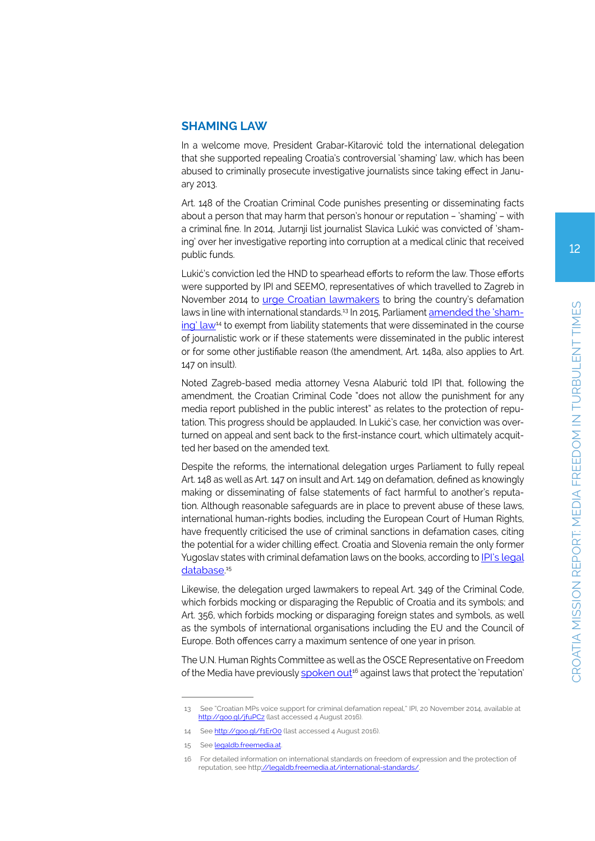### **SHAMING LAW**

In a welcome move, President Grabar-Kitarović told the international delegation that she supported repealing Croatia's controversial 'shaming' law, which has been abused to criminally prosecute investigative journalists since taking effect in January 2013.

Art. 148 of the Croatian Criminal Code punishes presenting or disseminating facts about a person that may harm that person's honour or reputation – 'shaming' – with a criminal fine. In 2014, Jutarnji list journalist Slavica Lukić was convicted of 'shaming' over her investigative reporting into corruption at a medical clinic that received public funds.

Lukić's conviction led the HND to spearhead efforts to reform the law. Those efforts were supported by IPI and SEEMO, representatives of which travelled to Zagreb in November 2014 to [urge Croatian lawmakers](http://www.freemedia.at/croatian-mps-voice-support-for-criminal-defamation-repeal/) to bring the country's defamation laws in line with international standards.13 In 2015, Parliament [amended the 'sham](http://narodne-novine.nn.hr/clanci/sluzbeni/2015_05_56_1095.html)[ing' law](http://narodne-novine.nn.hr/clanci/sluzbeni/2015_05_56_1095.html)<sup>14</sup> to exempt from liability statements that were disseminated in the course of journalistic work or if these statements were disseminated in the public interest or for some other justifiable reason (the amendment, Art. 148a, also applies to Art. 147 on insult).

Noted Zagreb-based media attorney Vesna Alaburić told IPI that, following the amendment, the Croatian Criminal Code "does not allow the punishment for any media report published in the public interest" as relates to the protection of reputation. This progress should be applauded. In Lukić's case, her conviction was overturned on appeal and sent back to the first-instance court, which ultimately acquitted her based on the amended text.

Despite the reforms, the international delegation urges Parliament to fully repeal Art. 148 as well as Art. 147 on insult and Art. 149 on defamation, defined as knowingly making or disseminating of false statements of fact harmful to another's reputation. Although reasonable safeguards are in place to prevent abuse of these laws, international human-rights bodies, including the European Court of Human Rights, have frequently criticised the use of criminal sanctions in defamation cases, citing the potential for a wider chilling effect. Croatia and Slovenia remain the only former Yugoslav states with criminal defamation laws on the books, according to **IPI's legal** [database](http://legaldb.freemedia.at/wp-content/uploads/2015/05/IPI-OutofBalance-Final-Jan2015.pdf).<sup>15</sup>

Likewise, the delegation urged lawmakers to repeal Art. 349 of the Criminal Code, which forbids mocking or disparaging the Republic of Croatia and its symbols; and Art. 356, which forbids mocking or disparaging foreign states and symbols, as well as the symbols of international organisations including the EU and the Council of Europe. Both offences carry a maximum sentence of one year in prison.

The U.N. Human Rights Committee as well as the OSCE Representative on Freedom of the Media have previously spoken out<sup>16</sup> against laws that protect the 'reputation'

<sup>13</sup> See "Croatian MPs voice support for criminal defamation repeal," IPI, 20 November 2014, available at <http://goo.gl/jfuPCz>(last accessed 4 August 2016).

<sup>14</sup> See http://goo.gl/f1ErOo (last accessed 4 August 2016).

<sup>15</sup> See [legaldb.freemedia.at](file:///D:/Andreas/Desktop/FFM-Croatia/legaldb.freemedia.at)

<sup>16</sup> For detailed information on international standards on freedom of expression and the protection of reputation, see htt[p://legaldb.freemedia.at/international-standards/](http://legaldb.freemedia.at/international-standards/).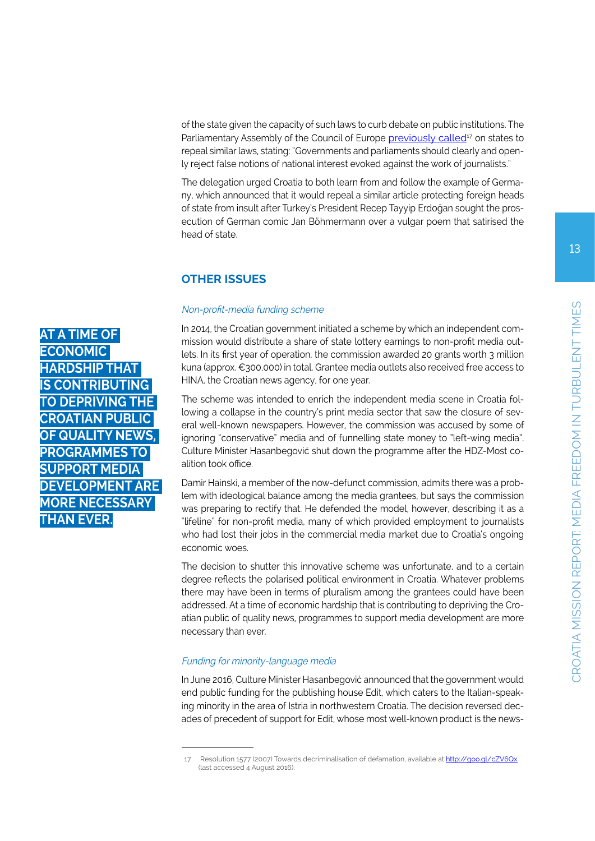of the state given the capacity of such laws to curb debate on public institutions. The Parliamentary Assembly of the Council of Europe [previously called](http://assembly.coe.int/nw/xml/XRef/Xref-XML2HTML-en.asp?fileid=17588&lang=en)<sup>17</sup> on states to repeal similar laws, stating: "Governments and parliaments should clearly and openly reject false notions of national interest evoked against the work of journalists."

The delegation urged Croatia to both learn from and follow the example of Germany, which announced that it would repeal a similar article protecting foreign heads of state from insult after Turkey's President Recep Tayyip Erdoğan sought the prosecution of German comic Jan Böhmermann over a vulgar poem that satirised the head of state.

## **OTHER ISSUES**

#### Non-profit-media funding scheme

In 2014, the Croatian government initiated a scheme by which an independent commission would distribute a share of state lottery earnings to non-profit media outlets. In its first year of operation, the commission awarded 20 grants worth 3 million kuna (approx. €300,000) in total. Grantee media outlets also received free access to HINA, the Croatian news agency, for one year.

The scheme was intended to enrich the independent media scene in Croatia following a collapse in the country's print media sector that saw the closure of several well-known newspapers. However, the commission was accused by some of ignoring "conservative" media and of funnelling state money to "left-wing media". Culture Minister Hasanbegović shut down the programme after the HDZ-Most coalition took office.

Damir Hainski, a member of the now-defunct commission, admits there was a problem with ideological balance among the media grantees, but says the commission was preparing to rectify that. He defended the model, however, describing it as a "lifeline" for non-profit media, many of which provided employment to journalists who had lost their jobs in the commercial media market due to Croatia's ongoing economic woes.

The decision to shutter this innovative scheme was unfortunate, and to a certain degree reflects the polarised political environment in Croatia. Whatever problems there may have been in terms of pluralism among the grantees could have been addressed. At a time of economic hardship that is contributing to depriving the Croatian public of quality news, programmes to support media development are more necessary than ever.

#### Funding for minority-language media

In June 2016, Culture Minister Hasanbegović announced that the government would end public funding for the publishing house Edit, which caters to the Italian-speaking minority in the area of Istria in northwestern Croatia. The decision reversed decades of precedent of support for Edit, whose most well-known product is the news-

**AT A TIME OF ECONOMIC HARDSHIP THAT IS CONTRIBUTING TO DEPRIVING TH CROATIAN PUBI OF QUALITY NE PROGRAMMES TO SUPPORT MEDIA DEVELOPMENT ARE MORE NECESSARY THAN EVER.**

Resolution 1577 (2007) Towards decriminalisation of defamation, available at<http://goo.gl/cZV6Qx> (last accessed 4 August 2016).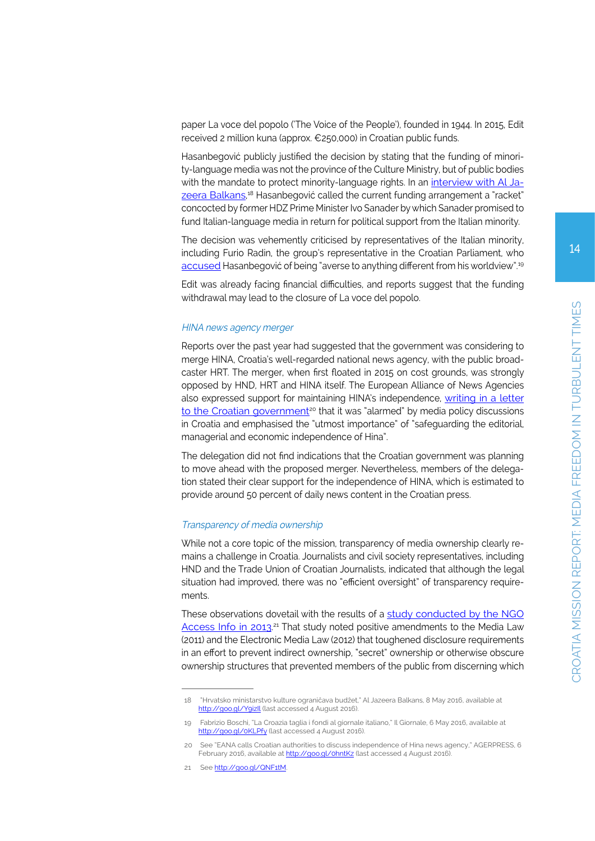paper La voce del popolo ('The Voice of the People'), founded in 1944. In 2015, Edit received 2 million kuna (approx. €250,000) in Croatian public funds.

Hasanbegović publicly justified the decision by stating that the funding of minority-language media was not the province of the Culture Ministry, but of public bodies with the mandate to protect minority-language rights. In an [interview with Al Ja](http://balkans.aljazeera.net/vijesti/hrvatsko-ministarstvo-kulture-ogranicava-budzet)[zeera Balkans,](http://balkans.aljazeera.net/vijesti/hrvatsko-ministarstvo-kulture-ogranicava-budzet)<sup>18</sup> Hasanbegović called the current funding arrangement a "racket" concocted by former HDZ Prime Minister Ivo Sanader by which Sanader promised to fund Italian-language media in return for political support from the Italian minority.

The decision was vehemently criticised by representatives of the Italian minority, including Furio Radin, the group's representative in the Croatian Parliament, who [accused](http://www.ilgiornale.it/news/politica/croazia-taglia-i-fondi-giornale-italiano-1255164.html) Hasanbegović of being "averse to anything different from his worldview".<sup>19</sup>

Edit was already facing financial difficulties, and reports suggest that the funding withdrawal may lead to the closure of La voce del popolo.

#### HINA news agency merger

Reports over the past year had suggested that the government was considering to merge HINA, Croatia's well-regarded national news agency, with the public broadcaster HRT. The merger, when first floated in 2015 on cost grounds, was strongly opposed by HND, HRT and HINA itself. The European Alliance of News Agencies also expressed support for maintaining HINA's independence, [writing in a letter](http://www.agerpres.ro/english/2016/02/06/eana-calls-croatian-authorities-to-discuss-independence-of-hina-news-agency-12-41-31) to the Croatian government<sup>20</sup> that it was "alarmed" by media policy discussions in Croatia and emphasised the "utmost importance" of "safeguarding the editorial, managerial and economic independence of Hina".

The delegation did not find indications that the Croatian government was planning to move ahead with the proposed merger. Nevertheless, members of the delegation stated their clear support for the independence of HINA, which is estimated to provide around 50 percent of daily news content in the Croatian press.

#### Transparency of media ownership

While not a core topic of the mission, transparency of media ownership clearly remains a challenge in Croatia. Journalists and civil society representatives, including HND and the Trade Union of Croatian Journalists, indicated that although the legal situation had improved, there was no "efficient oversight" of transparency requirements.

These observations dovetail with the results of a [study conducted by the NGO](http://www.access-info.org/tmo/13230) Access Info in 2013<sup>,21</sup> That study noted positive amendments to the Media Law (2011) and the Electronic Media Law (2012) that toughened disclosure requirements in an effort to prevent indirect ownership, "secret" ownership or otherwise obscure ownership structures that prevented members of the public from discerning which

<sup>18 &</sup>quot;Hrvatsko ministarstvo kulture ograničava budžet," Al Jazeera Balkans, 8 May 2016, available at http://goo.gl/YoizIl (last accessed 4 August 2016).

<sup>19</sup> Fabrizio Boschi, "La Croazia taglia i fondi al giornale italiano," Il Giornale, 6 May 2016, available at <http://goo.gl/0KLPfy> (last accessed 4 August 2016).

<sup>20</sup> See "EANA calls Croatian authorities to discuss independence of Hina news agency," AGERPRESS, 6 February 2016, available at<http://goo.gl/0hntKz> (last accessed 4 August 2016).

<sup>21</sup> See <http://goo.gl/QNF1tM>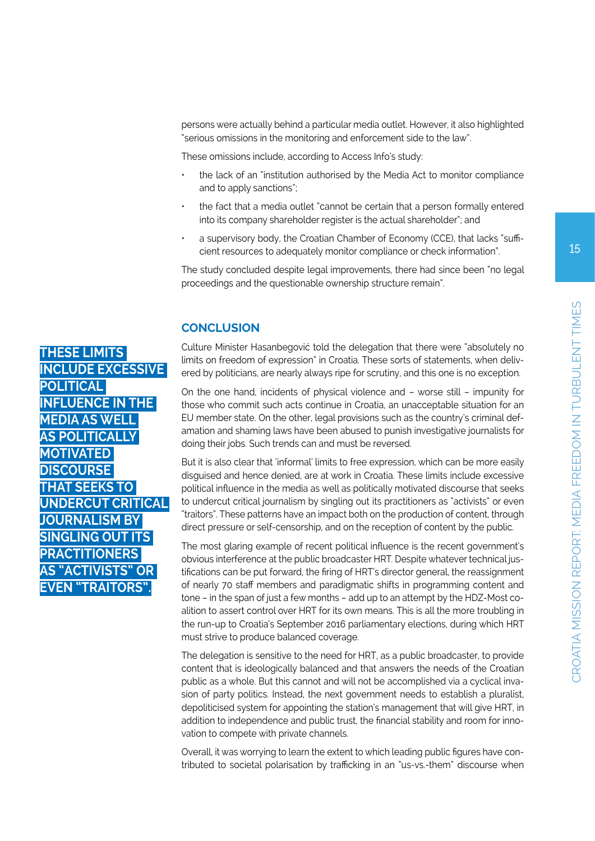persons were actually behind a particular media outlet. However, it also highlighted "serious omissions in the monitoring and enforcement side to the law".

These omissions include, according to Access Info's study:

- the lack of an "institution authorised by the Media Act to monitor compliance and to apply sanctions";
- the fact that a media outlet "cannot be certain that a person formally entered into its company shareholder register is the actual shareholder"; and
- a supervisory body, the Croatian Chamber of Economy (CCE), that lacks "sufficient resources to adequately monitor compliance or check information".

The study concluded despite legal improvements, there had since been "no legal proceedings and the questionable ownership structure remain".

# **CONCLUSION**

Culture Minister Hasanbegović told the delegation that there were "absolutely no limits on freedom of expression" in Croatia. These sorts of statements, when delivered by politicians, are nearly always ripe for scrutiny, and this one is no exception.

On the one hand, incidents of physical violence and – worse still – impunity for those who commit such acts continue in Croatia, an unacceptable situation for an EU member state. On the other, legal provisions such as the country's criminal defamation and shaming laws have been abused to punish investigative journalists for doing their jobs. Such trends can and must be reversed.

But it is also clear that 'informal' limits to free expression, which can be more easily disguised and hence denied, are at work in Croatia. These limits include excessive political influence in the media as well as politically motivated discourse that seeks to undercut critical journalism by singling out its practitioners as "activists" or even "traitors". These patterns have an impact both on the production of content, through direct pressure or self-censorship, and on the reception of content by the public.

The most glaring example of recent political influence is the recent government's obvious interference at the public broadcaster HRT. Despite whatever technical justifications can be put forward, the firing of HRT's director general, the reassignment of nearly 70 staff members and paradigmatic shifts in programming content and tone – in the span of just a few months – add up to an attempt by the HDZ-Most coalition to assert control over HRT for its own means. This is all the more troubling in the run-up to Croatia's September 2016 parliamentary elections, during which HRT must strive to produce balanced coverage.

The delegation is sensitive to the need for HRT, as a public broadcaster, to provide content that is ideologically balanced and that answers the needs of the Croatian public as a whole. But this cannot and will not be accomplished via a cyclical invasion of party politics. Instead, the next government needs to establish a pluralist, depoliticised system for appointing the station's management that will give HRT, in addition to independence and public trust, the financial stability and room for innovation to compete with private channels.

Overall, it was worrying to learn the extent to which leading public figures have contributed to societal polarisation by trafficking in an "us-vs.-them" discourse when

**THESE LIMITS INCLUDE EXCESSIVE POLITICAL INFLUENCE IN THE MEDIA AS WELL AS POLITICALLY MOTIVATED DISCOURSE THAT SEEKS TO UNDERCUT CRITICAL JOURNALISM BY SINGLING OUT ITS PRACTITIONERS AS "ACTIVISTS" OR EVEN "TRAITORS".**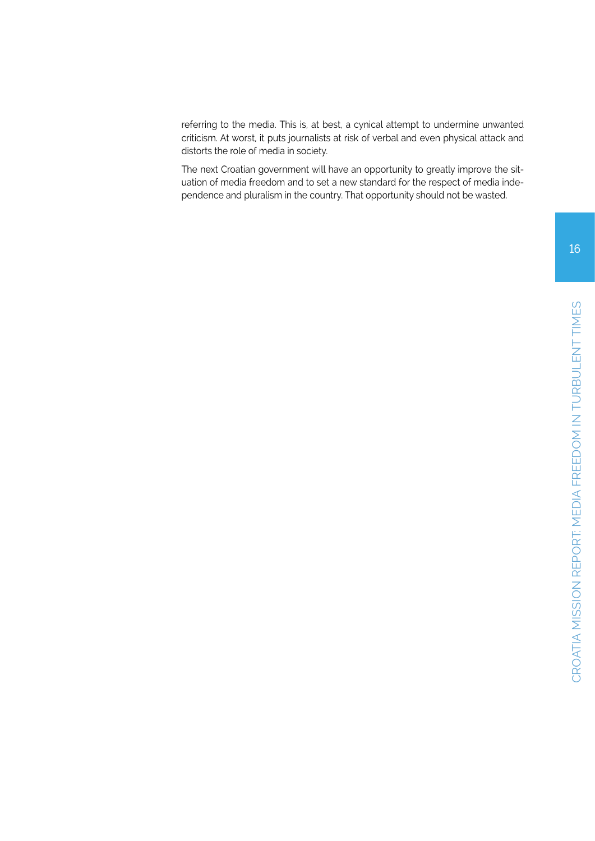referring to the media. This is, at best, a cynical attempt to undermine unwanted criticism. At worst, it puts journalists at risk of verbal and even physical attack and distorts the role of media in society.

The next Croatian government will have an opportunity to greatly improve the situation of media freedom and to set a new standard for the respect of media independence and pluralism in the country. That opportunity should not be wasted.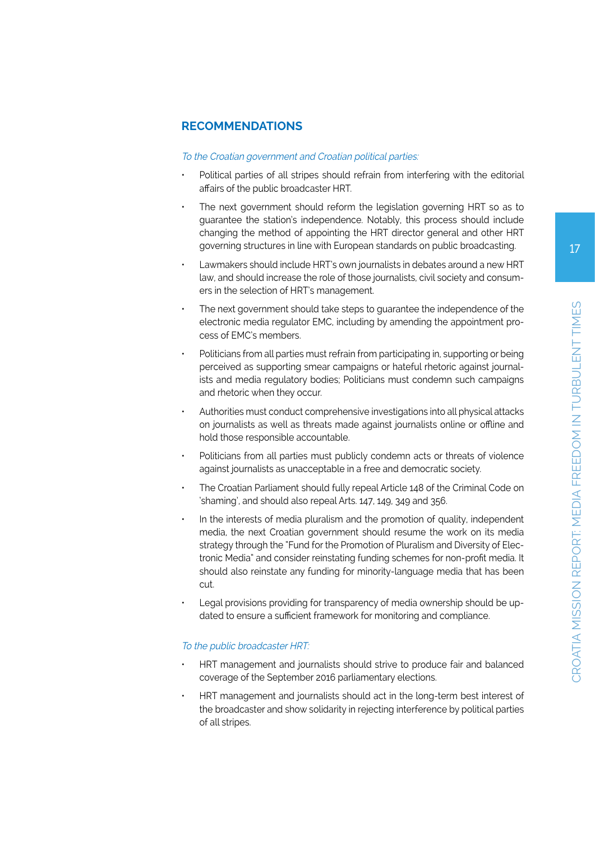# **RECOMMENDATIONS**

#### To the Croatian government and Croatian political parties:

- Political parties of all stripes should refrain from interfering with the editorial affairs of the public broadcaster HRT.
- The next government should reform the legislation governing HRT so as to guarantee the station's independence. Notably, this process should include changing the method of appointing the HRT director general and other HRT governing structures in line with European standards on public broadcasting.
- Lawmakers should include HRT's own journalists in debates around a new HRT law, and should increase the role of those journalists, civil society and consumers in the selection of HRT's management.
- The next government should take steps to guarantee the independence of the electronic media regulator EMC, including by amending the appointment process of EMC's members.
- Politicians from all parties must refrain from participating in, supporting or being perceived as supporting smear campaigns or hateful rhetoric against journalists and media regulatory bodies; Politicians must condemn such campaigns and rhetoric when they occur.
- Authorities must conduct comprehensive investigations into all physical attacks on journalists as well as threats made against journalists online or offline and hold those responsible accountable.
- Politicians from all parties must publicly condemn acts or threats of violence against journalists as unacceptable in a free and democratic society.
- The Croatian Parliament should fully repeal Article 148 of the Criminal Code on 'shaming', and should also repeal Arts. 147, 149, 349 and 356.
- In the interests of media pluralism and the promotion of quality, independent media, the next Croatian government should resume the work on its media strategy through the "Fund for the Promotion of Pluralism and Diversity of Electronic Media" and consider reinstating funding schemes for non-profit media. It should also reinstate any funding for minority-language media that has been cut.
- Legal provisions providing for transparency of media ownership should be updated to ensure a sufficient framework for monitoring and compliance.

#### To the public broadcaster HRT:

- HRT management and journalists should strive to produce fair and balanced coverage of the September 2016 parliamentary elections.
- HRT management and journalists should act in the long-term best interest of the broadcaster and show solidarity in rejecting interference by political parties of all stripes.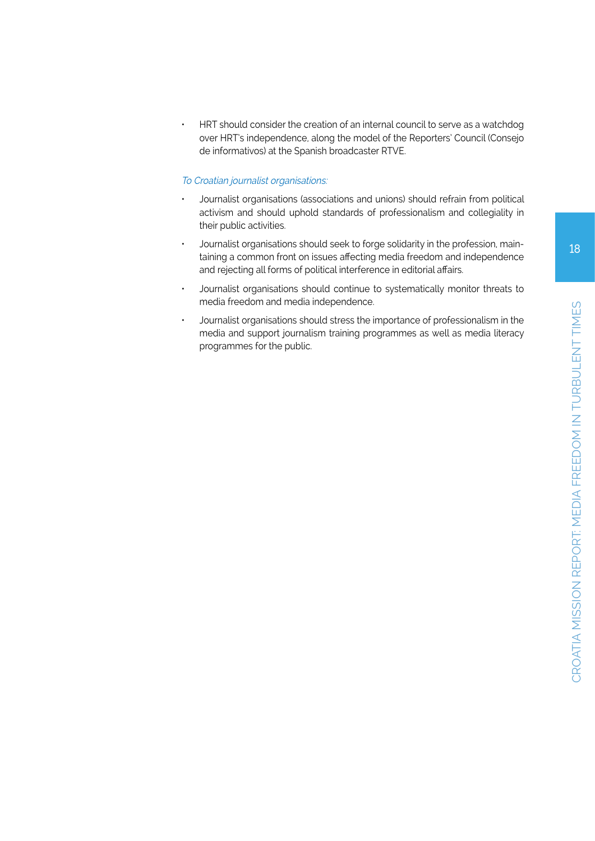• HRT should consider the creation of an internal council to serve as a watchdog over HRT's independence, along the model of the Reporters' Council (Consejo de informativos) at the Spanish broadcaster RTVE.

#### To Croatian journalist organisations:

- Journalist organisations (associations and unions) should refrain from political activism and should uphold standards of professionalism and collegiality in their public activities.
- Journalist organisations should seek to forge solidarity in the profession, maintaining a common front on issues affecting media freedom and independence and rejecting all forms of political interference in editorial affairs.
- Journalist organisations should continue to systematically monitor threats to media freedom and media independence.
- Journalist organisations should stress the importance of professionalism in the media and support journalism training programmes as well as media literacy programmes for the public.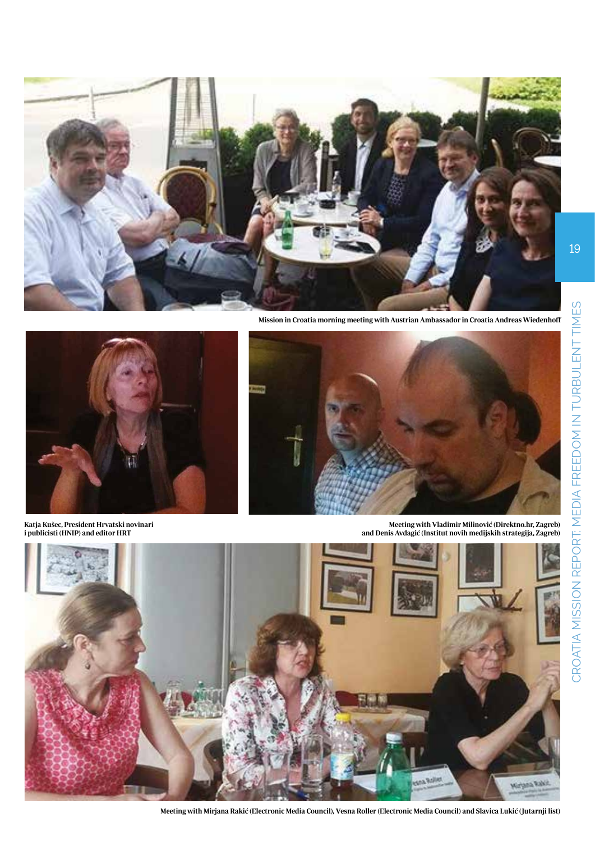

**Mission in Croatia morning meeting with Austrian Ambassador in Croatia Andreas Wiedenhoff**



**Katja Kušec, President Hrvatski novinari i publicisti (HNIP) and editor HRT**



**Meeting with Vladimir Milinović (Direktno.hr, Zagreb) and Denis Avdagić (Institut novih medijskih strategija, Zagreb)**



Meeting with Mirjana Rakić (Electronic Media Council), Vesna Roller (Electronic Media Council) and Slavica Lukić (Jutarnji list)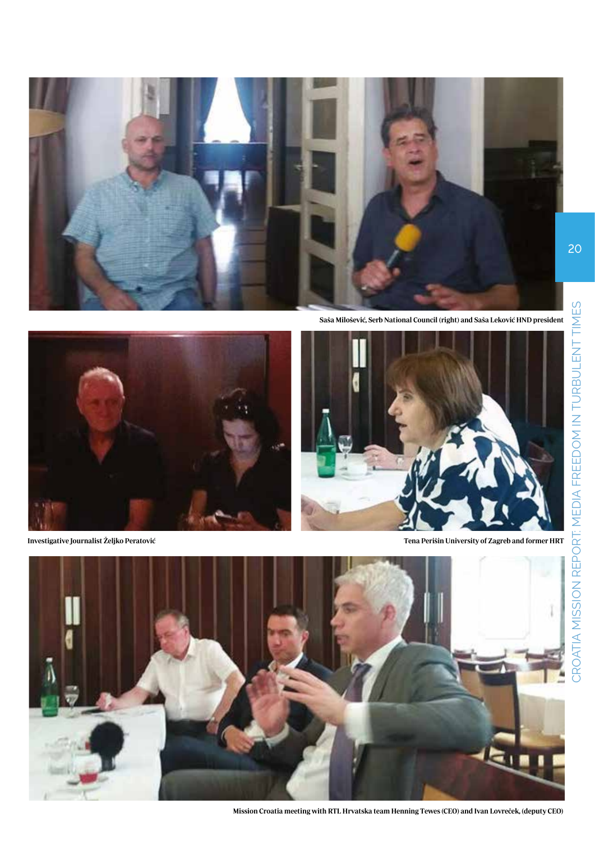

**Saša Milošević, Serb National Council (right) and Saša Leković HND president**







**Mission Croatia meeting with RTL Hrvatska team Henning Tewes (CEO) and Ivan Lovreček, (deputy CEO)**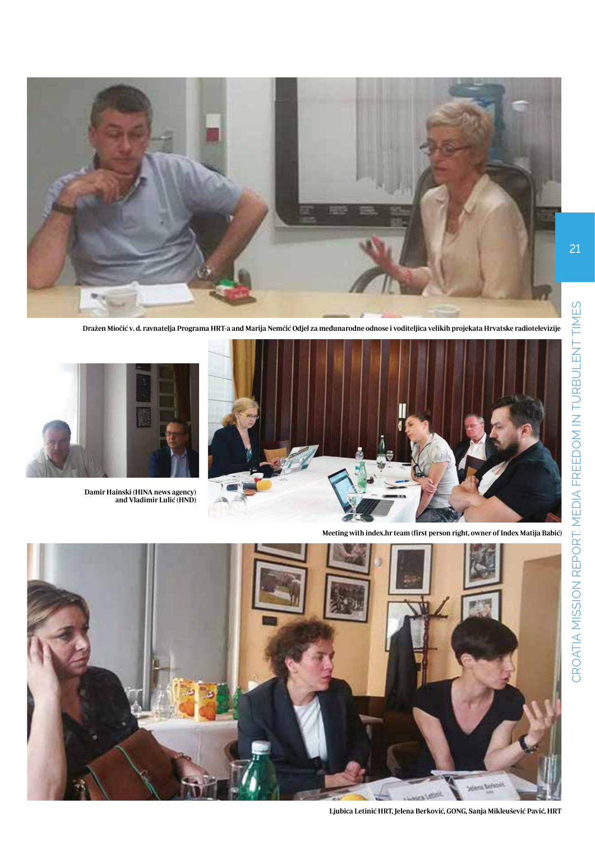![](_page_20_Picture_0.jpeg)

Dražen Miočić v. d. ravnatelja Programa HRT-a and Marija Nemčić Odjel za međunarodne odnose i voditeljica velikih projekata Hrvatske radiotelevizije

![](_page_20_Picture_2.jpeg)

![](_page_20_Picture_3.jpeg)

**Damir Hainski (HINA news agency) and Vladimir Lulić (HND)**

![](_page_20_Picture_5.jpeg)

**Ljubica Letinić HRT, Jelena Berković, GONG, Sanja Mikleušević Pavić, HRT**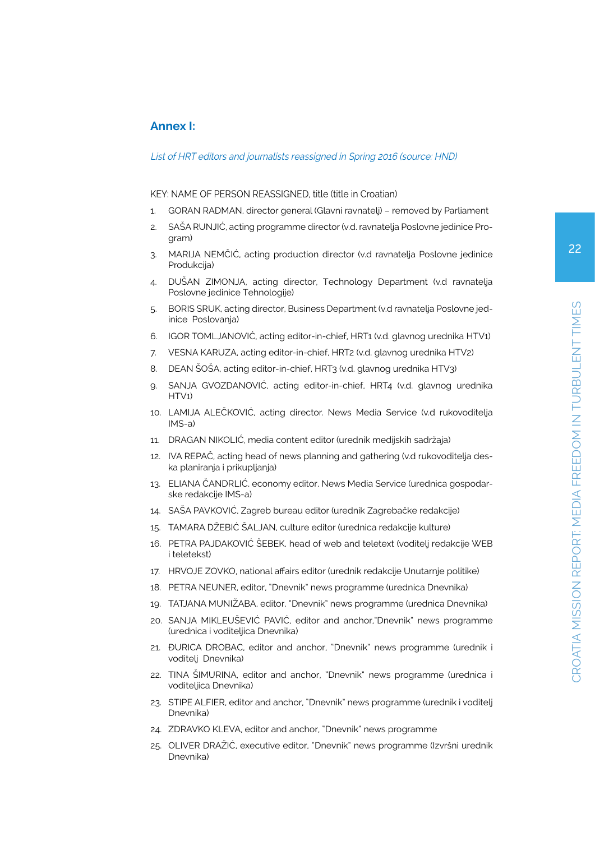# **Annex I:**

#### List of HRT editors and journalists reassigned in Spring 2016 (source: HND)

#### KEY: NAME OF PERSON REASSIGNED, title (title in Croatian)

- 1. GORAN RADMAN, director general (Glavni ravnatelj) removed by Parliament
- 2. SAŠA RUNJIĆ, acting programme director (v.d. ravnatelja Poslovne jedinice Program)
- 3. MARIJA NEMČIĆ, acting production director (v.d ravnatelja Poslovne jedinice Produkcija)
- 4. DUŠAN ZIMONJA, acting director, Technology Department (v.d ravnatelja Poslovne jedinice Tehnologije)
- 5. BORIS SRUK, acting director, Business Department (v.d ravnatelja Poslovne jedinice Poslovanja)
- 6. IGOR TOMLJANOVIĆ, acting editor-in-chief, HRT1 (v.d. glavnog urednika HTV1)
- 7. VESNA KARUZA, acting editor-in-chief, HRT2 (v.d. glavnog urednika HTV2)
- 8. DEAN ŠOŠA, acting editor-in-chief, HRT3 (v.d. glavnog urednika HTV3)
- 9. SANJA GVOZDANOVIĆ, acting editor-in-chief, HRT4 (v.d. glavnog urednika HTV1)
- 10. LAMIJA ALEČKOVIĆ, acting director. News Media Service (v.d rukovoditelja IMS-a)
- 11. DRAGAN NIKOLIĆ, media content editor (urednik medijskih sadržaja)
- 12. IVA REPAČ, acting head of news planning and gathering (v.d rukovoditelja deska planiranja i prikupljanja)
- 13. ELIANA ČANDRLIĆ, economy editor, News Media Service (urednica gospodarske redakcije IMS-a)
- 14. SAŠA PAVKOVIĆ, Zagreb bureau editor (urednik Zagrebačke redakcije)
- 15. TAMARA DŽEBIĆ ŠALJAN, culture editor (urednica redakcije kulture)
- 16. PETRA PAJDAKOVIĆ ŠEBEK, head of web and teletext (voditelj redakcije WEB i teletekst)
- 17. HRVOJE ZOVKO, national affairs editor (urednik redakcije Unutarnje politike)
- 18. PETRA NEUNER, editor, "Dnevnik" news programme (urednica Dnevnika)
- 19. TATJANA MUNIŽABA, editor, "Dnevnik" news programme (urednica Dnevnika)
- 20. SANJA MIKLEUŠEVIĆ PAVIĆ, editor and anchor,"Dnevnik" news programme (urednica i voditeljica Dnevnika)
- 21. ĐURICA DROBAC, editor and anchor, "Dnevnik" news programme (urednik i voditelj Dnevnika)
- 22. TINA ŠIMURINA, editor and anchor, "Dnevnik" news programme (urednica i voditeljica Dnevnika)
- 23. STIPE ALFIER, editor and anchor, "Dnevnik" news programme (urednik i voditelj Dnevnika)
- 24. ZDRAVKO KLEVA, editor and anchor, "Dnevnik" news programme
- 25. OLIVER DRAŽIĆ, executive editor, "Dnevnik" news programme (Izvršni urednik Dnevnika)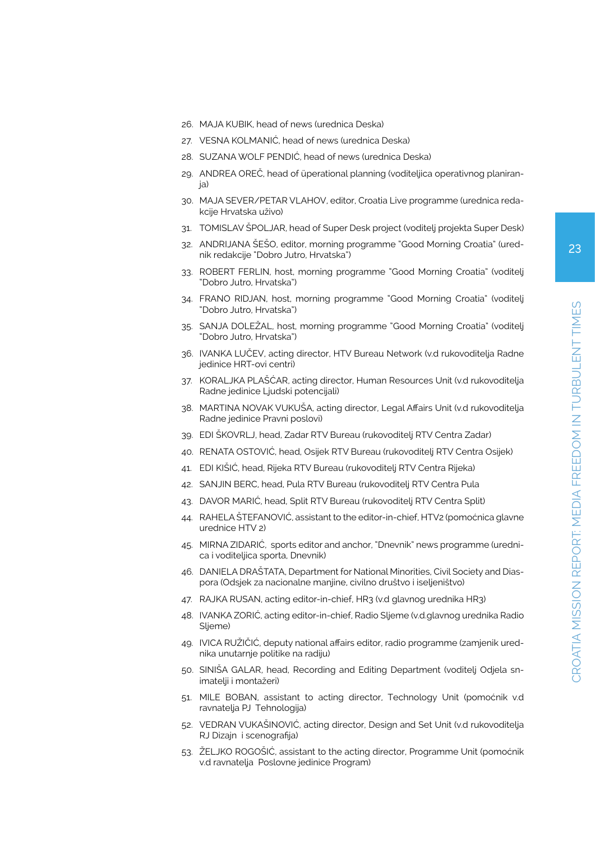- 26. MAJA KUBIK, head of news (urednica Deska)
- 27. VESNA KOLMANIĆ, head of news (urednica Deska)
- 28. SUZANA WOLF PENDIĆ, head of news (urednica Deska)
- 29. ANDREA OREČ, head of üperational planning (voditeljica operativnog planiranja)
- 30. MAJA SEVER/PETAR VLAHOV, editor, Croatia Live programme (urednica redakcije Hrvatska uživo)
- 31. TOMISLAV ŠPOLJAR, head of Super Desk project (voditelj projekta Super Desk)
- 32. ANDRIJANA ŠEŠO, editor, morning programme "Good Morning Croatia" (urednik redakcije "Dobro Jutro, Hrvatska")
- 33. ROBERT FERLIN, host, morning programme "Good Morning Croatia" (voditelj "Dobro Jutro, Hrvatska")
- 34. FRANO RIDJAN, host, morning programme "Good Morning Croatia" (voditelj "Dobro Jutro, Hrvatska")
- 35. SANJA DOLEŽAL, host, morning programme "Good Morning Croatia" (voditelj "Dobro Jutro, Hrvatska")
- 36. IVANKA LUČEV, acting director, HTV Bureau Network (v.d rukovoditelja Radne jedinice HRT-ovi centri)
- 37. KORALJKA PLAŠĆAR, acting director, Human Resources Unit (v.d rukovoditelja Radne jedinice Ljudski potencijali)
- 38. MARTINA NOVAK VUKUŠA, acting director, Legal Affairs Unit (v.d rukovoditelja Radne jedinice Pravni poslovi)
- 39. EDI ŠKOVRLJ, head, Zadar RTV Bureau (rukovoditelj RTV Centra Zadar)
- 40. RENATA OSTOVIĆ, head, Osijek RTV Bureau (rukovoditelj RTV Centra Osijek)
- 41. EDI KIŠIĆ, head, Rijeka RTV Bureau (rukovoditelj RTV Centra Rijeka)
- 42. SANJIN BERC, head, Pula RTV Bureau (rukovoditelj RTV Centra Pula
- 43. DAVOR MARIĆ, head, Split RTV Bureau (rukovoditelj RTV Centra Split)
- 44. RAHELA ŠTEFANOVIĆ, assistant to the editor-in-chief, HTV2 (pomoćnica glavne urednice HTV 2)
- 45. MIRNA ZIDARIĆ, sports editor and anchor, "Dnevnik" news programme (urednica i voditeljica sporta, Dnevnik)
- 46. DANIELA DRAŠTATA, Department for National Minorities, Civil Society and Diaspora (Odsjek za nacionalne manjine, civilno društvo i iseljeništvo)
- 47. RAJKA RUSAN, acting editor-in-chief, HR3 (v.d glavnog urednika HR3)
- 48. IVANKA ZORIĆ, acting editor-in-chief, Radio Sljeme (v.d.glavnog urednika Radio Sljeme)
- 49. IVICA RUŽIČIĆ, deputy national affairs editor, radio programme (zamjenik urednika unutarnje politike na radiju)
- 50. SINIŠA GALAR, head, Recording and Editing Department (voditelj Odjela snimatelji i montažeri)
- 51. MILE BOBAN, assistant to acting director, Technology Unit (pomoćnik v.d ravnatelja PJ Tehnologija)
- 52. VEDRAN VUKAŠINOVIĆ, acting director, Design and Set Unit (v.d rukovoditelja RJ Dizajn i scenografija)
- 53. ŽELJKO ROGOŠIĆ, assistant to the acting director, Programme Unit (pomoćnik v.d ravnatelja Poslovne jedinice Program)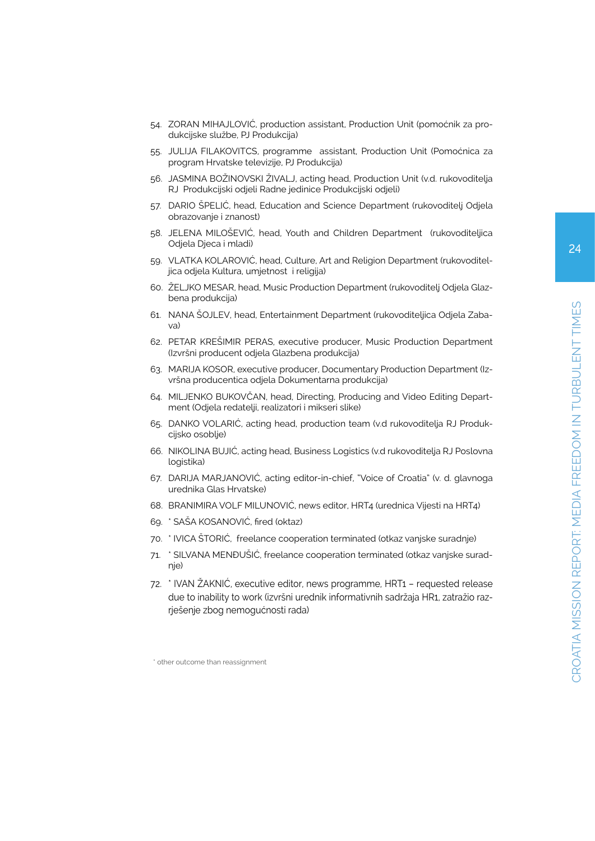- 54. ZORAN MIHAJLOVIĆ, production assistant, Production Unit (pomoćnik za produkcijske službe, PJ Produkcija)
- 55. JULIJA FILAKOVITCS, programme assistant, Production Unit (Pomoćnica za program Hrvatske televizije, PJ Produkcija)
- 56. JASMINA BOŽINOVSKI ŽIVALJ, acting head, Production Unit (v.d. rukovoditelja RJ Produkcijski odjeli Radne jedinice Produkcijski odjeli)
- 57. DARIO ŠPELIĆ, head, Education and Science Department (rukovoditelj Odjela obrazovanje i znanost)
- 58. JELENA MILOŠEVIĆ, head, Youth and Children Department (rukovoditeljica Odjela Djeca i mladi)
- 59. VLATKA KOLAROVIĆ, head, Culture, Art and Religion Department (rukovoditeljica odjela Kultura, umjetnost i religija)
- 60. ŽELJKO MESAR, head, Music Production Department (rukovoditelj Odjela Glazbena produkcija)
- 61. NANA ŠOJLEV, head, Entertainment Department (rukovoditeljica Odjela Zabava)
- 62. PETAR KREŠIMIR PERAS, executive producer, Music Production Department (Izvršni producent odjela Glazbena produkcija)
- 63. MARIJA KOSOR, executive producer, Documentary Production Department (Izvršna producentica odjela Dokumentarna produkcija)
- 64. MILJENKO BUKOVČAN, head, Directing, Producing and Video Editing Department (Odjela redatelji, realizatori i mikseri slike)
- 65. DANKO VOLARIĆ, acting head, production team (v.d rukovoditelja RJ Produkcijsko osoblje)
- 66. NIKOLINA BUJIĆ, acting head, Business Logistics (v.d rukovoditelja RJ Poslovna logistika)
- 67. DARIJA MARJANOVIĆ, acting editor-in-chief, "Voice of Croatia" (v. d. glavnoga urednika Glas Hrvatske)
- 68. BRANIMIRA VOLF MILUNOVIĆ, news editor, HRT4 (urednica Vijesti na HRT4)
- 69. \* SAŠA KOSANOVIĆ, fired (oktaz)
- 70. \* IVICA ŠTORIĆ, freelance cooperation terminated (otkaz vanjske suradnje)
- 71. \* SILVANA MENĐUŠIĆ, freelance cooperation terminated (otkaz vanjske suradnje)
- 72. \* IVAN ŽAKNIĆ, executive editor, news programme, HRT1 requested release due to inability to work (izvršni urednik informativnih sadržaja HR1, zatražio razrješenje zbog nemogućnosti rada)

<sup>\*</sup> other outcome than reassignment